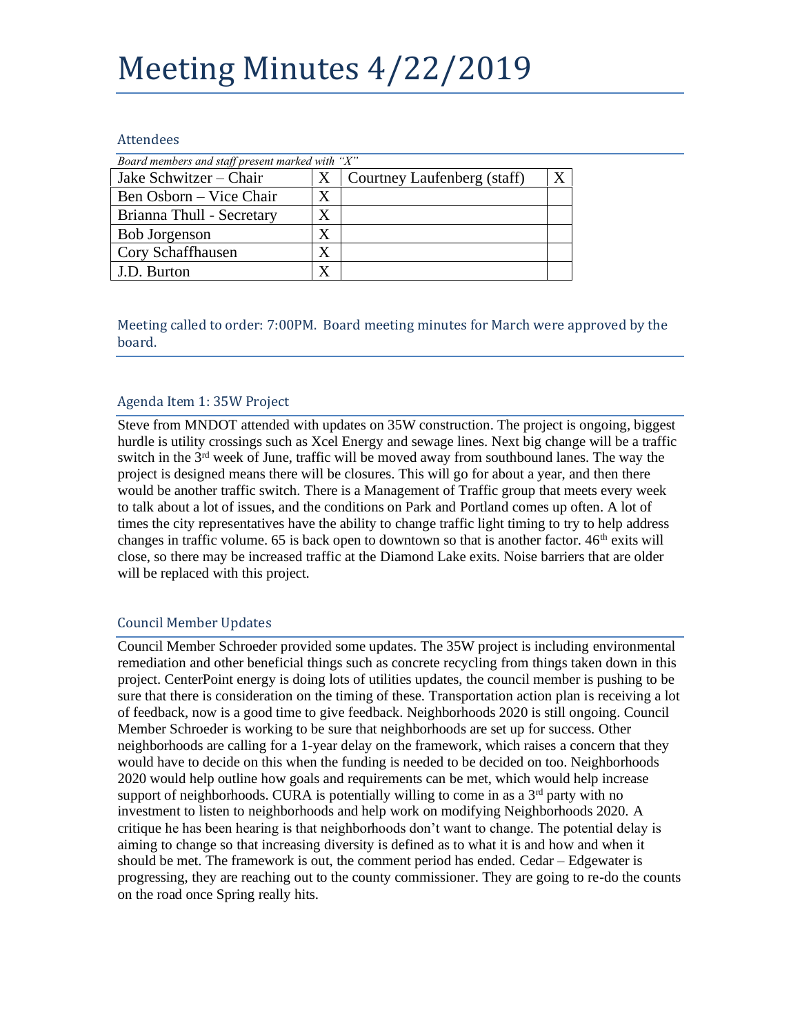# Meeting Minutes 4/22/2019

#### Attendees

| Board members and staff present marked with "X" |                   |                             |  |
|-------------------------------------------------|-------------------|-----------------------------|--|
| Jake Schwitzer – Chair                          | X                 | Courtney Laufenberg (staff) |  |
| Ben Osborn – Vice Chair                         | X                 |                             |  |
| Brianna Thull - Secretary                       |                   |                             |  |
| <b>Bob Jorgenson</b>                            | $\rm\overline{X}$ |                             |  |
| Cory Schaffhausen                               | X                 |                             |  |
| J.D. Burton                                     | X                 |                             |  |

Meeting called to order: 7:00PM. Board meeting minutes for March were approved by the board.

## Agenda Item 1: 35W Project

Steve from MNDOT attended with updates on 35W construction. The project is ongoing, biggest hurdle is utility crossings such as Xcel Energy and sewage lines. Next big change will be a traffic switch in the  $3<sup>rd</sup>$  week of June, traffic will be moved away from southbound lanes. The way the project is designed means there will be closures. This will go for about a year, and then there would be another traffic switch. There is a Management of Traffic group that meets every week to talk about a lot of issues, and the conditions on Park and Portland comes up often. A lot of times the city representatives have the ability to change traffic light timing to try to help address changes in traffic volume. 65 is back open to downtown so that is another factor.  $46<sup>th</sup>$  exits will close, so there may be increased traffic at the Diamond Lake exits. Noise barriers that are older will be replaced with this project.

#### Council Member Updates

Council Member Schroeder provided some updates. The 35W project is including environmental remediation and other beneficial things such as concrete recycling from things taken down in this project. CenterPoint energy is doing lots of utilities updates, the council member is pushing to be sure that there is consideration on the timing of these. Transportation action plan is receiving a lot of feedback, now is a good time to give feedback. Neighborhoods 2020 is still ongoing. Council Member Schroeder is working to be sure that neighborhoods are set up for success. Other neighborhoods are calling for a 1-year delay on the framework, which raises a concern that they would have to decide on this when the funding is needed to be decided on too. Neighborhoods 2020 would help outline how goals and requirements can be met, which would help increase support of neighborhoods. CURA is potentially willing to come in as a  $3<sup>rd</sup>$  party with no investment to listen to neighborhoods and help work on modifying Neighborhoods 2020. A critique he has been hearing is that neighborhoods don't want to change. The potential delay is aiming to change so that increasing diversity is defined as to what it is and how and when it should be met. The framework is out, the comment period has ended. Cedar – Edgewater is progressing, they are reaching out to the county commissioner. They are going to re-do the counts on the road once Spring really hits.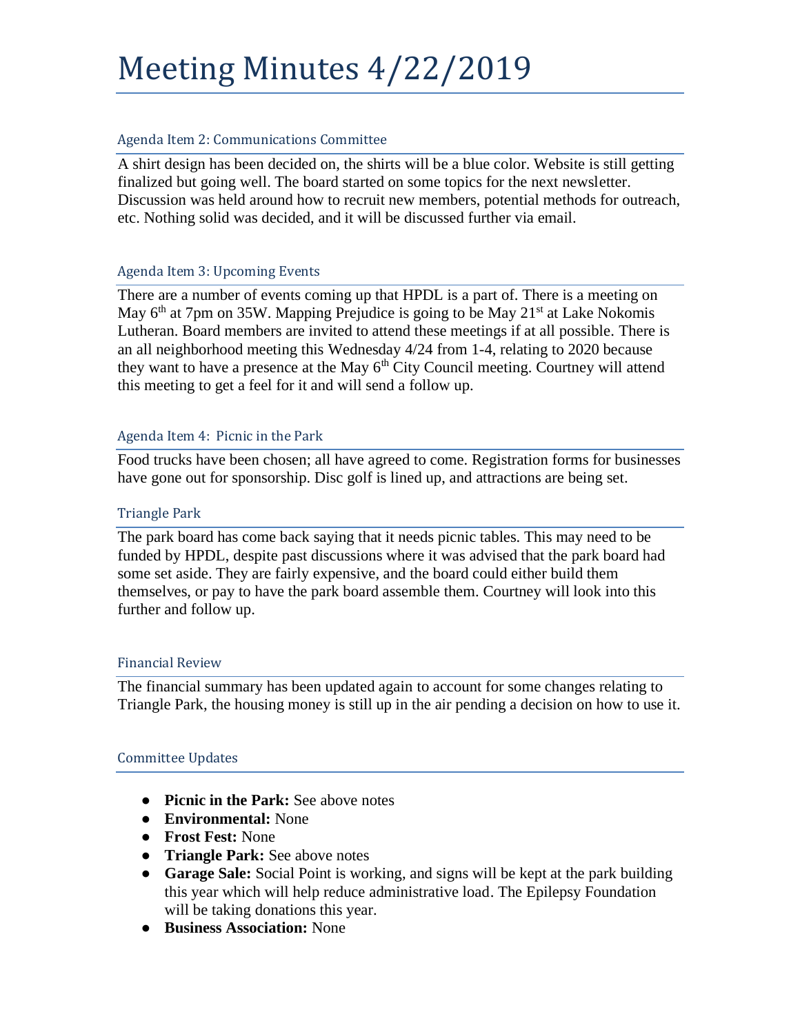# Meeting Minutes 4/22/2019

## Agenda Item 2: Communications Committee

A shirt design has been decided on, the shirts will be a blue color. Website is still getting finalized but going well. The board started on some topics for the next newsletter. Discussion was held around how to recruit new members, potential methods for outreach, etc. Nothing solid was decided, and it will be discussed further via email.

## Agenda Item 3: Upcoming Events

There are a number of events coming up that HPDL is a part of. There is a meeting on May  $6<sup>th</sup>$  at 7pm on 35W. Mapping Prejudice is going to be May 21<sup>st</sup> at Lake Nokomis Lutheran. Board members are invited to attend these meetings if at all possible. There is an all neighborhood meeting this Wednesday 4/24 from 1-4, relating to 2020 because they want to have a presence at the May  $6<sup>th</sup>$  City Council meeting. Courtney will attend this meeting to get a feel for it and will send a follow up.

## Agenda Item 4: Picnic in the Park

Food trucks have been chosen; all have agreed to come. Registration forms for businesses have gone out for sponsorship. Disc golf is lined up, and attractions are being set.

#### Triangle Park

The park board has come back saying that it needs picnic tables. This may need to be funded by HPDL, despite past discussions where it was advised that the park board had some set aside. They are fairly expensive, and the board could either build them themselves, or pay to have the park board assemble them. Courtney will look into this further and follow up.

#### Financial Review

The financial summary has been updated again to account for some changes relating to Triangle Park, the housing money is still up in the air pending a decision on how to use it.

# Committee Updates

- **Picnic in the Park:** See above notes
- **Environmental:** None
- **Frost Fest:** None
- **Triangle Park:** See above notes
- **Garage Sale:** Social Point is working, and signs will be kept at the park building this year which will help reduce administrative load. The Epilepsy Foundation will be taking donations this year.
- **Business Association:** None